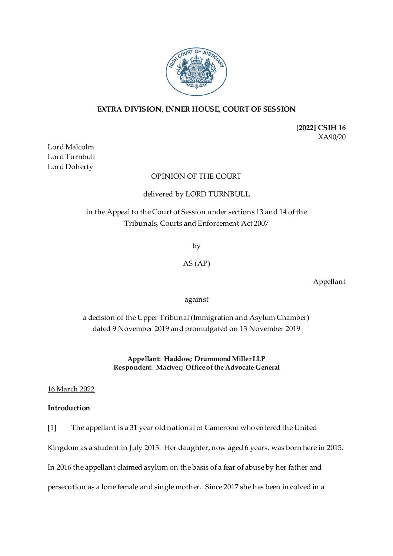

# **EXTRA DIVISION, INNER HOUSE, COURT OF SESSION**

**[2022] CSIH 16** XA90/20

Lord Malcolm Lord Turnbull Lord Doherty

## OPINION OF THE COURT

## delivered by LORD TURNBULL

in the Appeal to the Court of Session under sections 13 and 14 of the Tribunals, Courts and Enforcement Act 2007

by

AS (AP)

Appellant

against

a decision of the Upper Tribunal (Immigration and Asylum Chamber) dated 9 November 2019 and promulgated on 13 November 2019

> **Appellant: Haddow; Drummond Miller LLP Respondent: Maciver; Office of the Advocate General**

16 March 2022

# **Introduction**

[1] The appellant is a 31 year old national of Cameroon who entered the United

Kingdom as a student in July 2013. Her daughter, now aged 6 years, was born here in 2015.

In 2016 the appellant claimed asylum on the basis of a fear of abuse by her father and

persecution as a lone female and single mother. Since 2017 she has been involved in a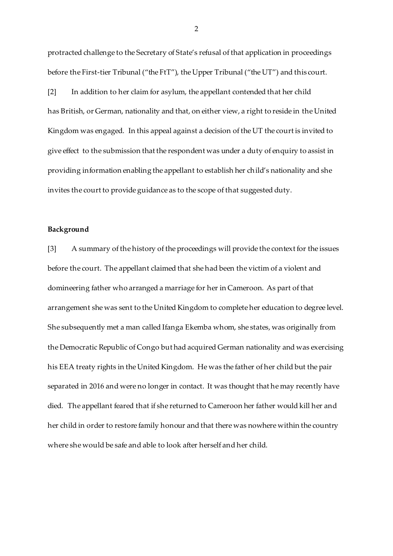protracted challenge to the Secretary of State's refusal of that application in proceedings before the First-tier Tribunal ("the FtT"), the Upper Tribunal ("the UT") and this court.

[2] In addition to her claim for asylum, the appellant contended that her child has British, or German, nationality and that, on either view, a right to reside in the United Kingdom was engaged. In this appeal against a decision of the UT the court is invited to give effect to the submission that the respondent was under a duty of enquiry to assist in providing information enabling the appellant to establish her child's nationality and she invites the court to provide guidance as to the scope of that suggested duty.

### **Background**

[3] A summary of the history of the proceedings will provide the context for the issues before the court. The appellant claimed that she had been the victim of a violent and domineering father who arranged a marriage for her in Cameroon. As part of that arrangement she was sent to the United Kingdom to complete her education to degree level. She subsequently met a man called Ifanga Ekemba whom, she states, was originally from the Democratic Republic of Congo but had acquired German nationality and was exercising his EEA treaty rights in the United Kingdom. He was the father of her child but the pair separated in 2016 and were no longer in contact. It was thought that he may recently have died. The appellant feared that if she returned to Cameroon her father would kill her and her child in order to restore family honour and that there was nowhere within the country where she would be safe and able to look after herself and her child.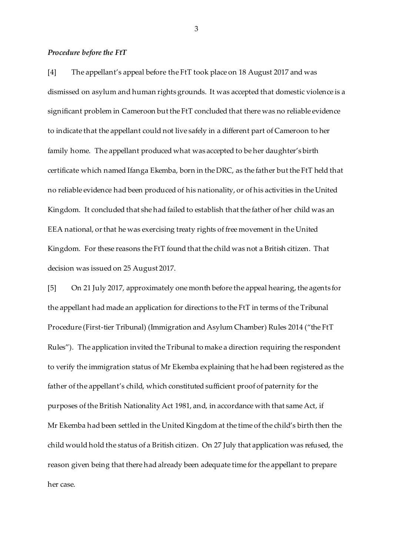#### *Procedure before the FtT*

[4] The appellant's appeal before the FtT took place on 18 August 2017 and was dismissed on asylum and human rights grounds. It was accepted that domestic violence is a significant problem in Cameroon but the FtT concluded that there was no reliable evidence to indicate that the appellant could not live safely in a different part of Cameroon to her family home. The appellant produced what was accepted to be her daughter's birth certificate which named Ifanga Ekemba, born in the DRC, as the father but the FtT held that no reliable evidence had been produced of his nationality, or of his activities in the United Kingdom. It concluded that she had failed to establish that the father of her child was an EEA national, or that he was exercising treaty rights of free movement in the United Kingdom. For these reasons the FtT found that the child was not a British citizen. That decision was issued on 25 August 2017.

[5] On 21 July 2017, approximately one month before the appeal hearing, the agents for the appellant had made an application for directions to the FtT in terms of the Tribunal Procedure (First-tier Tribunal) (Immigration and Asylum Chamber) Rules 2014 ("the FtT Rules"). The application invited the Tribunal to make a direction requiring the respondent to verify the immigration status of Mr Ekemba explaining that he had been registered as the father of the appellant's child, which constituted sufficient proof of paternity for the purposes of the British Nationality Act 1981, and, in accordance with that same Act, if Mr Ekemba had been settled in the United Kingdom at the time of the child's birth then the child would hold the status of a British citizen. On 27 July that application was refused, the reason given being that there had already been adequate time for the appellant to prepare her case.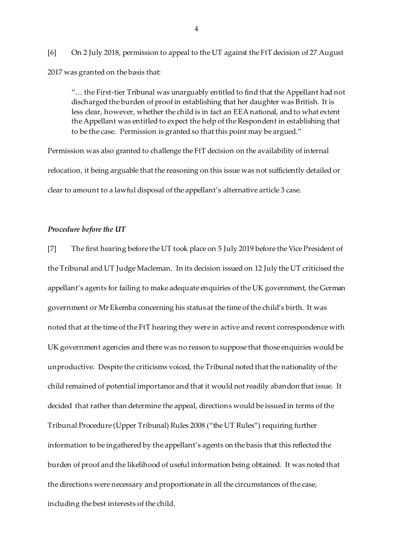[6] On 2 July 2018, permission to appeal to the UT against the FtT decision of 27 August 2017 was granted on the basis that:

"… the First-tier Tribunal was unarguably entitled to find that the Appellant had not discharged the burden of proof in establishing that her daughter was British. It is less clear, however, whether the child is in fact an EEA national, and to what extent the Appellant was entitled to expect the help of the Respondent in establishing that to be the case. Permission is granted so that this point may be argued."

Permission was also granted to challenge the FtT decision on the availability of internal relocation, it being arguable that the reasoning on this issue was not sufficiently detailed or clear to amount to a lawful disposal of the appellant's alternative article 3 case.

# *Procedure before the UT*

[7] The first hearing before the UT took place on 5 July 2019 before the Vice President of the Tribunal and UT Judge Macleman. In its decision issued on 12 July the UT criticised the appellant's agents for failing to make adequate enquiries of the UK government, the German government or Mr Ekemba concerning his status at the time of the child's birth. It was noted that at the time of the FtT hearing they were in active and recent correspondence with UK government agencies and there was no reason to suppose that those enquiries would be unproductive. Despite the criticisms voiced, the Tribunal noted that the nationality of the child remained of potential importance and that it would not readily abandon that issue. It decided that rather than determine the appeal, directions would be issued in terms of the Tribunal Procedure (Upper Tribunal) Rules 2008 ("the UT Rules") requiring further information to be ingathered by the appellant's agents on the basis that this reflected the burden of proof and the likelihood of useful information being obtained. It was noted that the directions were necessary and proportionate in all the circumstances of the case, including the best interests of the child.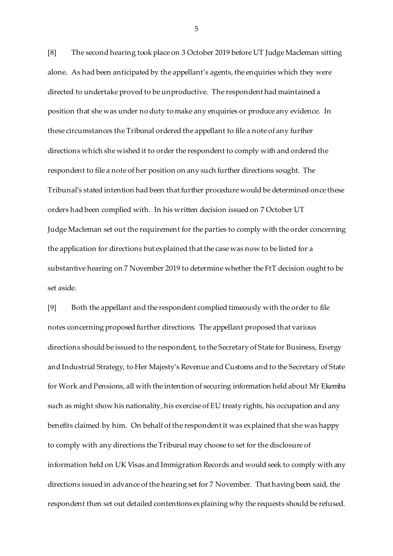[8] The second hearing took place on 3 October 2019 before UT Judge Macleman sitting alone. As had been anticipated by the appellant's agents, the enquiries which they were directed to undertake proved to be unproductive. The respondent had maintained a position that she was under no duty to make any enquiries or produce any evidence. In these circumstances the Tribunal ordered the appellant to file a note of any further directions which she wished it to order the respondent to comply with and ordered the respondent to file a note of her position on any such further directions sought. The Tribunal's stated intention had been that further procedure would be determined once these orders had been complied with. In his written decision issued on 7 October UT Judge Macleman set out the requirement for the parties to comply with the order concerning the application for directions but explained that the case was now to be listed for a substantive hearing on 7 November 2019 to determine whether the FtT decision ought to be set aside.

[9] Both the appellant and the respondent complied timeously with the order to file notes concerning proposed further directions. The appellant proposed that various directions should be issued to the respondent, to the Secretary of State for Business, Energy and Industrial Strategy, to Her Majesty's Revenue and Customs and to the Secretary of State for Work and Pensions, all with the intention of securing information held about Mr Ekemba such as might show his nationality, his exercise of EU treaty rights, his occupation and any benefits claimed by him. On behalf of the respondent it was explained that she was happy to comply with any directions the Tribunal may choose to set for the disclosure of information held on UK Visas and Immigration Records and would seek to comply with any directions issued in advance of the hearing set for 7 November. That having been said, the respondent then set out detailed contentions explaining why the requests should be refused.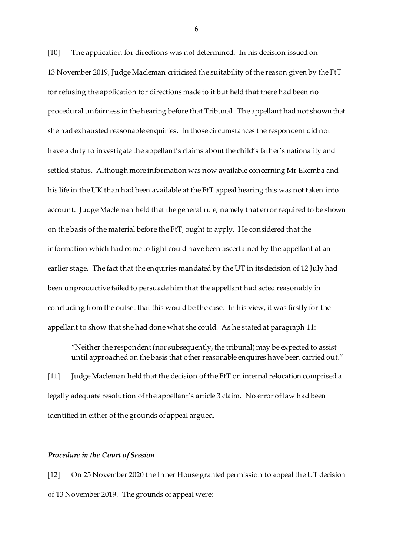[10] The application for directions was not determined. In his decision issued on 13 November 2019, Judge Macleman criticised the suitability of the reason given by the FtT for refusing the application for directions made to it but held that there had been no procedural unfairness in the hearing before that Tribunal. The appellant had not shown that she had exhausted reasonable enquiries. In those circumstances the respondent did not have a duty to investigate the appellant's claims about the child's father's nationality and settled status. Although more information was now available concerning Mr Ekemba and his life in the UK than had been available at the FtT appeal hearing this was not taken into account. Judge Macleman held that the general rule, namely that error required to be shown on the basis of the material before the FtT, ought to apply. He considered that the information which had come to light could have been ascertained by the appellant at an earlier stage. The fact that the enquiries mandated by the UT in its decision of 12 July had been unproductive failed to persuade him that the appellant had acted reasonably in concluding from the outset that this would be the case. In his view, it was firstly for the appellant to show that she had done what she could. As he stated at paragraph 11:

"Neither the respondent (nor subsequently, the tribunal) may be expected to assist until approached on the basis that other reasonable enquires have been carried out."

[11] Judge Macleman held that the decision of the FtT on internal relocation comprised a legally adequate resolution of the appellant's article 3 claim. No error of law had been identified in either of the grounds of appeal argued.

### *Procedure in the Court of Session*

[12] On 25 November 2020 the Inner House granted permission to appeal the UT decision of 13 November 2019. The grounds of appeal were: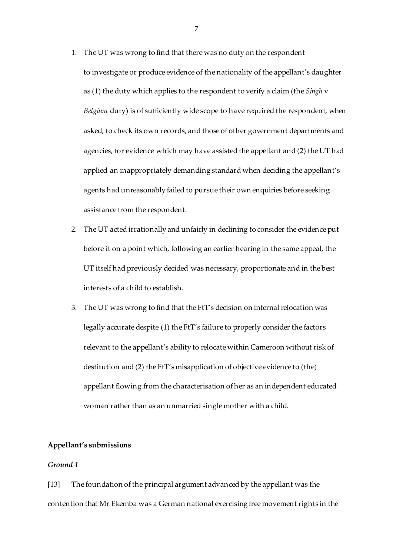- 1. The UT was wrong to find that there was no duty on the respondent to investigate or produce evidence of the nationality of the appellant's daughter as (1) the duty which applies to the respondent to verify a claim (the *Singh* v *Belgium* duty) is of sufficiently wide scope to have required the respondent, when asked, to check its own records, and those of other government departments and agencies, for evidence which may have assisted the appellant and (2) the UT had applied an inappropriately demanding standard when deciding the appellant's agents had unreasonably failed to pursue their own enquiries before seeking assistance from the respondent.
- 2. The UT acted irrationally and unfairly in declining to consider the evidence put before it on a point which, following an earlier hearing in the same appeal, the UT itself had previously decided was necessary, proportionate and in the best interests of a child to establish.
- 3. The UT was wrong to find that the FtT's decision on internal relocation was legally accurate despite (1) the FtT's failure to properly consider the factors relevant to the appellant's ability to relocate within Cameroon without risk of destitution and (2) the FtT's misapplication of objective evidence to (the) appellant flowing from the characterisation of her as an independent educated woman rather than as an unmarried single mother with a child.

## **Appellant's submissions**

## *Ground 1*

[13] The foundation of the principal argument advanced by the appellant was the contention that Mr Ekemba was a German national exercising free movement rights in the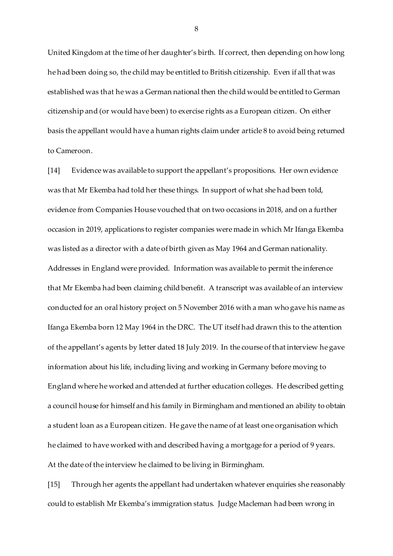United Kingdom at the time of her daughter's birth. If correct, then depending on how long he had been doing so, the child may be entitled to British citizenship. Even if all that was established was that he was a German national then the child would be entitled to German citizenship and (or would have been) to exercise rights as a European citizen. On either basis the appellant would have a human rights claim under article 8 to avoid being returned to Cameroon.

[14] Evidence was available to support the appellant's propositions. Her own evidence was that Mr Ekemba had told her these things. In support of what she had been told, evidence from Companies House vouched that on two occasions in 2018, and on a further occasion in 2019, applications to register companies were made in which Mr Ifanga Ekemba was listed as a director with a date of birth given as May 1964 and German nationality. Addresses in England were provided. Information was available to permit the inference that Mr Ekemba had been claiming child benefit. A transcript was available of an interview conducted for an oral history project on 5 November 2016 with a man who gave his name as Ifanga Ekemba born 12 May 1964 in the DRC. The UT itself had drawn this to the attention of the appellant's agents by letter dated 18 July 2019. In the course of that interview he gave information about his life, including living and working in Germany before moving to England where he worked and attended at further education colleges. He described getting a council house for himself and his family in Birmingham and mentioned an ability to obtain a student loan as a European citizen. He gave the name of at least one organisation which he claimed to have worked with and described having a mortgage for a period of 9 years. At the date of the interview he claimed to be living in Birmingham.

[15] Through her agents the appellant had undertaken whatever enquiries she reasonably could to establish Mr Ekemba's immigration status. Judge Macleman had been wrong in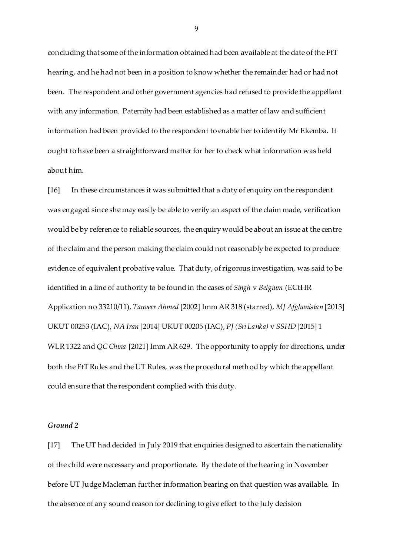concluding that some of the information obtained had been available at the date of the FtT hearing, and he had not been in a position to know whether the remainder had or had not been. The respondent and other government agencies had refused to provide the appellant with any information. Paternity had been established as a matter of law and sufficient information had been provided to the respondent to enable her to identify Mr Ekemba. It ought to have been a straightforward matter for her to check what information was held about him.

[16] In these circumstances it was submitted that a duty of enquiry on the respondent was engaged since she may easily be able to verify an aspect of the claim made, verification would be by reference to reliable sources, the enquiry would be about an issue at the centre of the claim and the person making the claim could not reasonably be expected to produce evidence of equivalent probative value. That duty, of rigorous investigation, was said to be identified in a line of authority to be found in the cases of *Singh* v *Belgium* (ECtHR Application no 33210/11), *Tanveer Ahmed* [2002] Imm AR 318 (starred), *MJ Afghanistan* [2013] UKUT 00253 (IAC), *NA Iran* [2014] UKUT 00205 (IAC), *PJ (Sri Lanka)* v *SSHD* [2015] 1 WLR 1322 and *QC China* [2021] Imm AR 629. The opportunity to apply for directions, under both the FtT Rules and the UT Rules, was the procedural method by which the appellant could ensure that the respondent complied with this duty.

#### *Ground 2*

[17] The UT had decided in July 2019 that enquiries designed to ascertain the nationality of the child were necessary and proportionate. By the date of the hearing in November before UT Judge Macleman further information bearing on that question was available. In the absence of any sound reason for declining to give effect to the July decision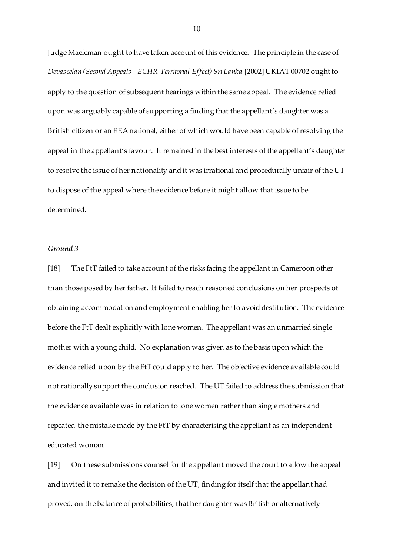Judge Macleman ought to have taken account of this evidence. The principle in the case of *Devaseelan (Second Appeals - ECHR-Territorial Effect) Sri Lanka* [2002] UKIAT 00702 ought to apply to the question of subsequent hearings within the same appeal. The evidence relied upon was arguably capable of supporting a finding that the appellant's daughter was a British citizen or an EEA national, either of which would have been capable of resolving the appeal in the appellant's favour. It remained in the best interests of the appellant's daughter to resolve the issue of her nationality and it was irrational and procedurally unfair of the UT to dispose of the appeal where the evidence before it might allow that issue to be determined.

## *Ground 3*

[18] The FtT failed to take account of the risks facing the appellant in Cameroon other than those posed by her father. It failed to reach reasoned conclusions on her prospects of obtaining accommodation and employment enabling her to avoid destitution. The evidence before the FtT dealt explicitly with lone women. The appellant was an unmarried single mother with a young child. No explanation was given as to the basis upon which the evidence relied upon by the FtT could apply to her. The objective evidence available could not rationally support the conclusion reached. The UT failed to address the submission that the evidence available was in relation to lone women rather than single mothers and repeated the mistake made by the FtT by characterising the appellant as an independent educated woman.

[19] On these submissions counsel for the appellant moved the court to allow the appeal and invited it to remake the decision of the UT, finding for itself that the appellant had proved, on the balance of probabilities, that her daughter was British or alternatively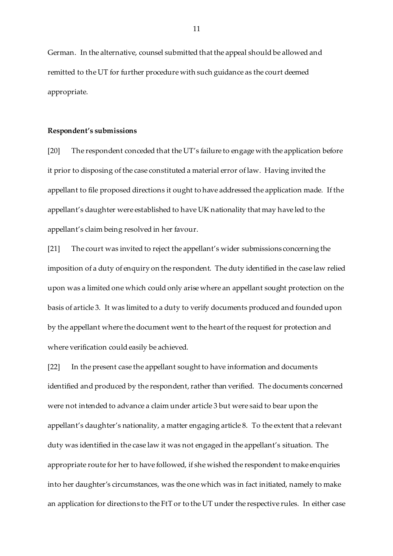German. In the alternative, counsel submitted that the appeal should be allowed and remitted to the UT for further procedure with such guidance as the court deemed appropriate.

#### **Respondent's submissions**

[20] The respondent conceded that the UT's failure to engage with the application before it prior to disposing of the case constituted a material error of law. Having invited the appellant to file proposed directions it ought to have addressed the application made. If the appellant's daughter were established to have UK nationality that may have led to the appellant's claim being resolved in her favour.

[21] The court was invited to reject the appellant's wider submissions concerning the imposition of a duty of enquiry on the respondent. The duty identified in the case law relied upon was a limited one which could only arise where an appellant sought protection on the basis of article 3. It was limited to a duty to verify documents produced and founded upon by the appellant where the document went to the heart of the request for protection and where verification could easily be achieved.

[22] In the present case the appellant sought to have information and documents identified and produced by the respondent, rather than verified. The documents concerned were not intended to advance a claim under article 3 but were said to bear upon the appellant's daughter's nationality, a matter engaging article 8. To the extent that a relevant duty was identified in the case law it was not engaged in the appellant's situation. The appropriate route for her to have followed, if she wished the respondent to make enquiries into her daughter's circumstances, was the one which was in fact initiated, namely to make an application for directions to the FtT or to the UT under the respective rules. In either case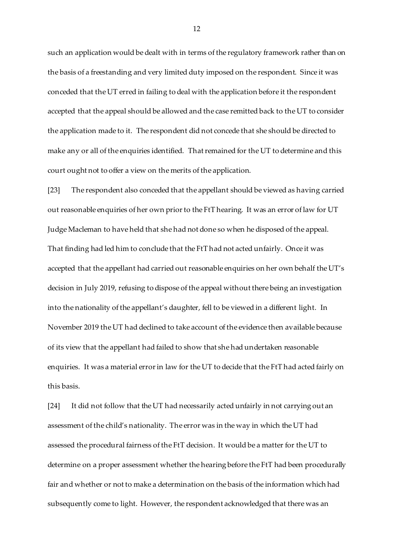such an application would be dealt with in terms of the regulatory framework rather than on the basis of a freestanding and very limited duty imposed on the respondent. Since it was conceded that the UT erred in failing to deal with the application before it the respondent accepted that the appeal should be allowed and the case remitted back to the UT to consider the application made to it. The respondent did not concede that she should be directed to make any or all of the enquiries identified. That remained for the UT to determine and this court ought not to offer a view on the merits of the application.

[23] The respondent also conceded that the appellant should be viewed as having carried out reasonable enquiries of her own prior to the FtT hearing. It was an error of law for UT Judge Macleman to have held that she had not done so when he disposed of the appeal. That finding had led him to conclude that the FtT had not acted unfairly. Once it was accepted that the appellant had carried out reasonable enquiries on her own behalf the UT's decision in July 2019, refusing to dispose of the appeal without there being an investigation into the nationality of the appellant's daughter, fell to be viewed in a different light. In November 2019 the UT had declined to take account of the evidence then available because of its view that the appellant had failed to show that she had undertaken reasonable enquiries. It was a material error in law for the UT to decide that the FtT had acted fairly on this basis.

[24] It did not follow that the UT had necessarily acted unfairly in not carrying out an assessment of the child's nationality. The error was in the way in which the UT had assessed the procedural fairness of the FtT decision. It would be a matter for the UT to determine on a proper assessment whether the hearing before the FtT had been procedurally fair and whether or not to make a determination on the basis of the information which had subsequently come to light. However, the respondent acknowledged that there was an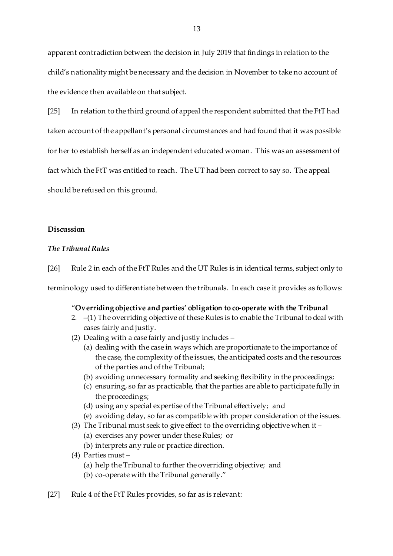apparent contradiction between the decision in July 2019 that findings in relation to the child's nationality might be necessary and the decision in November to take no account of the evidence then available on that subject.

[25] In relation to the third ground of appeal the respondent submitted that the FtT had taken account of the appellant's personal circumstances and had found that it was possible for her to establish herself as an independent educated woman. This was an assessment of fact which the FtT was entitled to reach. The UT had been correct to say so. The appeal should be refused on this ground.

### **Discussion**

## *The Tribunal Rules*

[26] Rule 2 in each of the FtT Rules and the UT Rules is in identical terms, subject only to

terminology used to differentiate between the tribunals. In each case it provides as follows:

### "**Overriding objective and parties' obligation to co-operate with the Tribunal**

- 2. –(1) The overriding objective of these Rules is to enable the Tribunal to deal with cases fairly and justly.
- (2) Dealing with a case fairly and justly includes
	- (a) dealing with the case in ways which are proportionate to the importance of the case, the complexity of the issues, the anticipated costs and the resources of the parties and of the Tribunal;
	- (b) avoiding unnecessary formality and seeking flexibility in the proceedings;
	- (c) ensuring, so far as practicable, that the parties are able to participate fully in the proceedings;
	- (d) using any special expertise of the Tribunal effectively; and
	- (e) avoiding delay, so far as compatible with proper consideration of the issues.
- (3) The Tribunal must seek to give effect to the overriding objective when it
	- (a) exercises any power under these Rules; or
	- (b) interprets any rule or practice direction.
- (4) Parties must
	- (a) help the Tribunal to further the overriding objective; and
	- (b) co-operate with the Tribunal generally."
- [27] Rule 4 of the FtT Rules provides, so far as is relevant: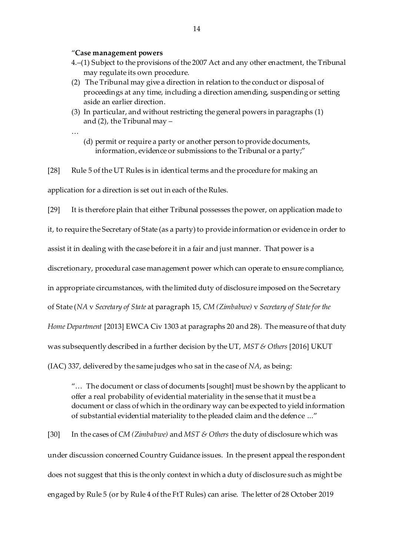#### "**Case management powers**

…

- 4.–(1) Subject to the provisions of the 2007 Act and any other enactment, the Tribunal may regulate its own procedure.
- (2) The Tribunal may give a direction in relation to the conduct or disposal of proceedings at any time, including a direction amending, suspending or setting aside an earlier direction.
- (3) In particular, and without restricting the general powers in paragraphs (1) and (2), the Tribunal may –
	- (d) permit or require a party or another person to provide documents, information, evidence or submissions to the Tribunal or a party;"

[28] Rule 5 of the UT Rules is in identical terms and the procedure for making an application for a direction is set out in each of the Rules.

[29] It is therefore plain that either Tribunal possesses the power, on application made to it, to require the Secretary of State (as a party) to provide information or evidence in order to assist it in dealing with the case before it in a fair and just manner. That power is a discretionary, procedural case management power which can operate to ensure compliance, in appropriate circumstances, with the limited duty of disclosure imposed on the Secretary of State (*NA* v *Secretary of State* at paragraph 15, *CM (Zimbabwe)* v *Secretary of State for the Home Department* [2013] EWCA Civ 1303 at paragraphs 20 and 28). The measure of that duty was subsequently described in a further decision by the UT, *MST & Others* [2016] UKUT (IAC) 337, delivered by the same judges who sat in the case of *NA*, as being:

"… The document or class of documents [sought] must be shown by the applicant to offer a real probability of evidential materiality in the sense that it must be a document or class of which in the ordinary way can be expected to yield information of substantial evidential materiality to the pleaded claim and the defence ..."

[30] In the cases of *CM (Zimbabwe)* and *MST & Others* the duty of disclosure which was under discussion concerned Country Guidance issues. In the present appeal the respondent does not suggest that this is the only context in which a duty of disclosure such as might be engaged by Rule 5 (or by Rule 4 of the FtT Rules) can arise. The letter of 28 October 2019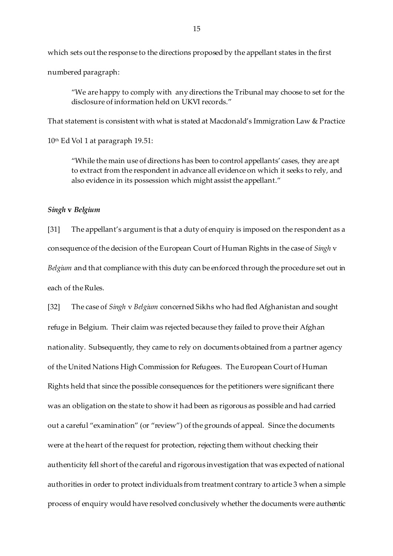which sets out the response to the directions proposed by the appellant states in the first numbered paragraph:

"We are happy to comply with any directions the Tribunal may choose to set for the disclosure of information held on UKVI records."

That statement is consistent with what is stated at Macdonald's Immigration Law & Practice

10<sup>th</sup> Ed Vol 1 at paragraph 19.51:

"While the main use of directions has been to control appellants' cases, they are apt to extract from the respondent in advance all evidence on which it seeks to rely, and also evidence in its possession which might assist the appellant."

### *Singh* **v** *Belgium*

[31] The appellant's argument is that a duty of enquiry is imposed on the respondent as a consequence of the decision of the European Court of Human Rights in the case of *Singh* v *Belgium* and that compliance with this duty can be enforced through the procedure set out in each of the Rules.

[32] The case of *Singh* v *Belgium* concerned Sikhs who had fled Afghanistan and sought refuge in Belgium. Their claim was rejected because they failed to prove their Afghan nationality. Subsequently, they came to rely on documents obtained from a partner agency of the United Nations High Commission for Refugees. The European Court of Human Rights held that since the possible consequences for the petitioners were significant there was an obligation on the state to show it had been as rigorous as possible and had carried out a careful "examination" (or "review") of the grounds of appeal. Since the documents were at the heart of the request for protection, rejecting them without checking their authenticity fell short of the careful and rigorous investigation that was expected of national authorities in order to protect individuals from treatment contrary to article 3 when a simple process of enquiry would have resolved conclusively whether the documents were authentic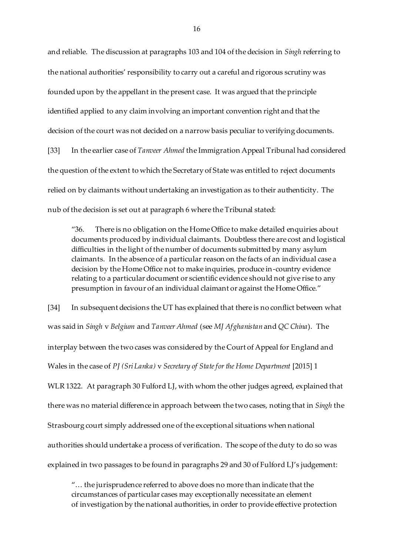and reliable. The discussion at paragraphs 103 and 104 of the decision in *Singh* referring to the national authorities' responsibility to carry out a careful and rigorous scrutiny was founded upon by the appellant in the present case. It was argued that the principle identified applied to any claim involving an important convention right and that the decision of the court was not decided on a narrow basis peculiar to verifying documents. [33] In the earlier case of *Tanveer Ahmed* the Immigration Appeal Tribunal had considered the question of the extent to which the Secretary of State was entitled to reject documents relied on by claimants without undertaking an investigation as to their authenticity. The nub of the decision is set out at paragraph 6 where the Tribunal stated:

"36. There is no obligation on the Home Office to make detailed enquiries about documents produced by individual claimants. Doubtless there are cost and logistical difficulties in the light of the number of documents submitted by many asylum claimants. In the absence of a particular reason on the facts of an individual case a decision by the Home Office not to make inquiries, produce in-country evidence relating to a particular document or scientific evidence should not give rise to any presumption in favour of an individual claimant or against the Home Office."

[34] In subsequent decisions the UT has explained that there is no conflict between what was said in *Singh* v *Belgium* and *Tanveer Ahmed* (see *MJ Afghanistan* and *QC China*). The interplay between the two cases was considered by the Court of Appeal for England and Wales in the case of *PJ (Sri Lanka)* v *Secretary of State for the Home Department* [2015] 1 WLR 1322. At paragraph 30 Fulford LJ, with whom the other judges agreed, explained that there was no material difference in approach between the two cases, noting that in *Singh* the Strasbourg court simply addressed one of the exceptional situations when national authorities should undertake a process of verification. The scope of the duty to do so was explained in two passages to be found in paragraphs 29 and 30 of Fulford LJ's judgement:

"… the jurisprudence referred to above does no more than indicate that the circumstances of particular cases may exceptionally necessitate an element of investigation by the national authorities, in order to provide effective protection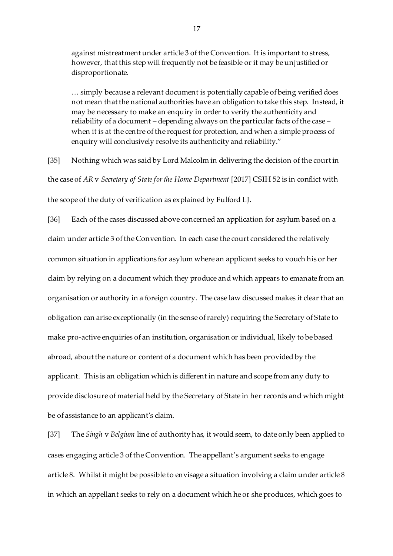against mistreatment under article 3 of the Convention. It is important to stress, however, that this step will frequently not be feasible or it may be unjustified or disproportionate.

… simply because a relevant document is potentially capable of being verified does not mean that the national authorities have an obligation to take this step. Instead, it may be necessary to make an enquiry in order to verify the authenticity and reliability of a document – depending always on the particular facts of the case – when it is at the centre of the request for protection, and when a simple process of enquiry will conclusively resolve its authenticity and reliability."

[35] Nothing which was said by Lord Malcolm in delivering the decision of the court in the case of *AR* v *Secretary of State for the Home Department* [2017] CSIH 52 is in conflict with the scope of the duty of verification as explained by Fulford LJ.

[36] Each of the cases discussed above concerned an application for asylum based on a claim under article 3 of the Convention. In each case the court considered the relatively common situation in applications for asylum where an applicant seeks to vouch his or her claim by relying on a document which they produce and which appears to emanate from an organisation or authority in a foreign country. The case law discussed makes it clear that an obligation can arise exceptionally (in the sense of rarely) requiring the Secretary of State to make pro-active enquiries of an institution, organisation or individual, likely to be based abroad, about the nature or content of a document which has been provided by the applicant. This is an obligation which is different in nature and scope from any duty to provide disclosure of material held by the Secretary of State in her records and which might be of assistance to an applicant's claim.

[37] The *Singh* v *Belgium* line of authority has, it would seem, to date only been applied to cases engaging article 3 of the Convention. The appellant's argument seeks to engage article 8. Whilst it might be possible to envisage a situation involving a claim under article 8 in which an appellant seeks to rely on a document which he or she produces, which goes to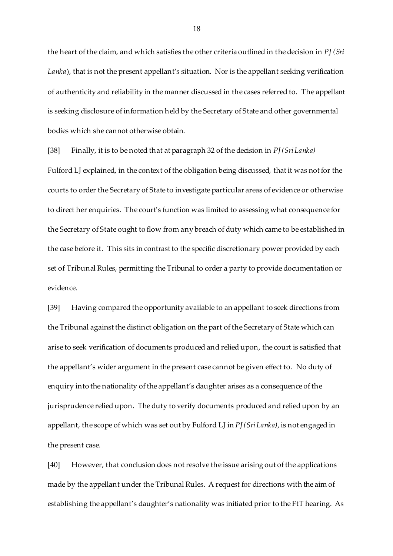the heart of the claim, and which satisfies the other criteria outlined in the decision in *PJ (Sri Lanka*), that is not the present appellant's situation. Nor is the appellant seeking verification of authenticity and reliability in the manner discussed in the cases referred to. The appellant is seeking disclosure of information held by the Secretary of State and other governmental bodies which she cannot otherwise obtain.

[38] Finally, it is to be noted that at paragraph 32 of the decision in *PJ (Sri Lanka)*

Fulford LJ explained, in the context of the obligation being discussed, that it was not for the courts to order the Secretary of State to investigate particular areas of evidence or otherwise to direct her enquiries. The court's function was limited to assessing what consequence for the Secretary of State ought to flow from any breach of duty which came to be established in the case before it. This sits in contrast to the specific discretionary power provided by each set of Tribunal Rules, permitting the Tribunal to order a party to provide documentation or evidence.

[39] Having compared the opportunity available to an appellant to seek directions from the Tribunal against the distinct obligation on the part of the Secretary of State which can arise to seek verification of documents produced and relied upon, the court is satisfied that the appellant's wider argument in the present case cannot be given effect to. No duty of enquiry into the nationality of the appellant's daughter arises as a consequence of the jurisprudence relied upon. The duty to verify documents produced and relied upon by an appellant, the scope of which was set out by Fulford LJ in *PJ (Sri Lanka)*, is not engaged in the present case.

[40] However, that conclusion does not resolve the issue arising out of the applications made by the appellant under the Tribunal Rules. A request for directions with the aim of establishing the appellant's daughter's nationality was initiated prior to the FtT hearing. As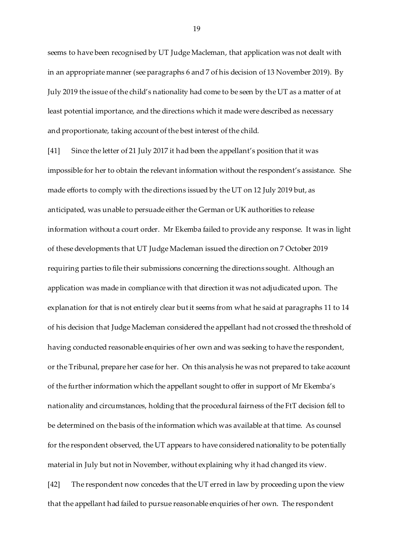seems to have been recognised by UT Judge Macleman, that application was not dealt with in an appropriate manner (see paragraphs 6 and 7 of his decision of 13 November 2019). By July 2019 the issue of the child's nationality had come to be seen by the UT as a matter of at least potential importance, and the directions which it made were described as necessary and proportionate, taking account of the best interest of the child.

[41] Since the letter of 21 July 2017 it had been the appellant's position that it was impossible for her to obtain the relevant information without the respondent's assistance. She made efforts to comply with the directions issued by the UT on 12 July 2019 but, as anticipated, was unable to persuade either the German or UK authorities to release information without a court order. Mr Ekemba failed to provide any response. It was in light of these developments that UT Judge Macleman issued the direction on 7 October 2019 requiring parties to file their submissions concerning the directions sought. Although an application was made in compliance with that direction it was not adjudicated upon. The explanation for that is not entirely clear but it seems from what he said at paragraphs 11 to 14 of his decision that Judge Macleman considered the appellant had not crossed the threshold of having conducted reasonable enquiries of her own and was seeking to have the respondent, or the Tribunal, prepare her case for her. On this analysis he was not prepared to take account of the further information which the appellant sought to offer in support of Mr Ekemba's nationality and circumstances, holding that the procedural fairness of the FtT decision fell to be determined on the basis of the information which was available at that time. As counsel for the respondent observed, the UT appears to have considered nationality to be potentially material in July but not in November, without explaining why it had changed its view.

[42] The respondent now concedes that the UT erred in law by proceeding upon the view that the appellant had failed to pursue reasonable enquiries of her own. The respondent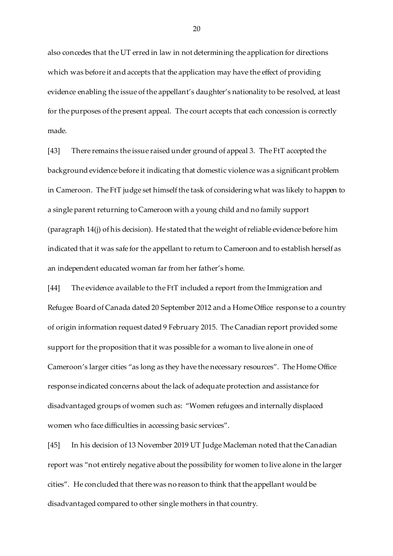also concedes that the UT erred in law in not determining the application for directions which was before it and accepts that the application may have the effect of providing evidence enabling the issue of the appellant's daughter's nationality to be resolved, at least for the purposes of the present appeal. The court accepts that each concession is correctly made.

[43] There remains the issue raised under ground of appeal 3. The FtT accepted the background evidence before it indicating that domestic violence was a significant problem in Cameroon. The FtT judge set himself the task of considering what was likely to happen to a single parent returning to Cameroon with a young child and no family support (paragraph 14(j) of his decision). He stated that the weight of reliable evidence before him indicated that it was safe for the appellant to return to Cameroon and to establish herself as an independent educated woman far from her father's home.

[44] The evidence available to the FtT included a report from the Immigration and Refugee Board of Canada dated 20 September 2012 and a Home Office response to a country of origin information request dated 9 February 2015. The Canadian report provided some support for the proposition that it was possible for a woman to live alone in one of Cameroon's larger cities "as long as they have the necessary resources". The Home Office response indicated concerns about the lack of adequate protection and assistance for disadvantaged groups of women such as: "Women refugees and internally displaced women who face difficulties in accessing basic services".

[45] In his decision of 13 November 2019 UT Judge Macleman noted that the Canadian report was "not entirely negative about the possibility for women to live alone in the larger cities". He concluded that there was no reason to think that the appellant would be disadvantaged compared to other single mothers in that country.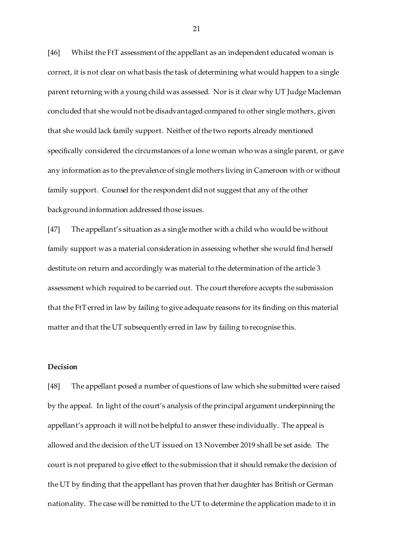[46] Whilst the FtT assessment of the appellant as an independent educated woman is correct, it is not clear on what basis the task of determining what would happen to a single parent returning with a young child was assessed. Nor is it clear why UT Judge Macleman concluded that she would not be disadvantaged compared to other single mothers, given that she would lack family support. Neither of the two reports already mentioned specifically considered the circumstances of a lone woman who was a single parent, or gave any information as to the prevalence of single mothers living in Cameroon with or without family support. Counsel for the respondent did not suggest that any of the other background information addressed those issues.

[47] The appellant's situation as a single mother with a child who would be without family support was a material consideration in assessing whether she would find herself destitute on return and accordingly was material to the determination of the article 3 assessment which required to be carried out. The court therefore accepts the submission that the FtT erred in law by failing to give adequate reasons for its finding on this material matter and that the UT subsequently erred in law by failing to recognise this.

### **Decision**

[48] The appellant posed a number of questions of law which she submitted were raised by the appeal. In light of the court's analysis of the principal argument underpinning the appellant's approach it will not be helpful to answer these individually. The appeal is allowed and the decision of the UT issued on 13 November 2019 shall be set aside. The court is not prepared to give effect to the submission that it should remake the decision of the UT by finding that the appellant has proven that her daughter has British or German nationality. The case will be remitted to the UT to determine the application made to it in